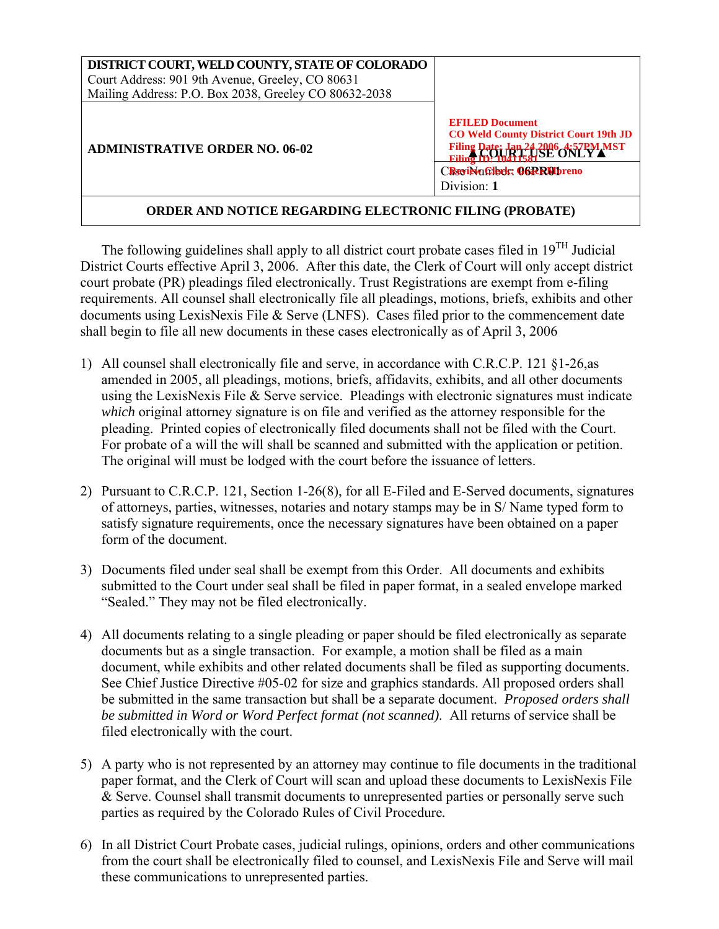| DISTRICT COURT, WELD COUNTY, STATE OF COLORADO<br>Court Address: 901 9th Avenue, Greeley, CO 80631<br>Mailing Address: P.O. Box 2038, Greeley CO 80632-2038 |                                                                                                               |
|-------------------------------------------------------------------------------------------------------------------------------------------------------------|---------------------------------------------------------------------------------------------------------------|
| <b>ADMINISTRATIVE ORDER NO. 06-02</b>                                                                                                                       | <b>EFILED Document</b><br><b>CO Weld County District Court 19th JD</b><br>Filing Date: Jan 24 2006 4:57PM MST |
|                                                                                                                                                             | CRsviNufilbek: O6RRMbreno<br>Division: 1                                                                      |
| <b>ORDER AND NOTICE REGARDING ELECTRONIC FILING (PROBATE)</b>                                                                                               |                                                                                                               |

The following guidelines shall apply to all district court probate cases filed in  $19<sup>TH</sup>$  Judicial District Courts effective April 3, 2006. After this date, the Clerk of Court will only accept district court probate (PR) pleadings filed electronically. Trust Registrations are exempt from e-filing requirements. All counsel shall electronically file all pleadings, motions, briefs, exhibits and other documents using LexisNexis File & Serve (LNFS). Cases filed prior to the commencement date shall begin to file all new documents in these cases electronically as of April 3, 2006

- 1) All counsel shall electronically file and serve, in accordance with C.R.C.P. 121 §1-26,as amended in 2005, all pleadings, motions, briefs, affidavits, exhibits, and all other documents using the LexisNexis File & Serve service. Pleadings with electronic signatures must indicate *which* original attorney signature is on file and verified as the attorney responsible for the pleading. Printed copies of electronically filed documents shall not be filed with the Court. For probate of a will the will shall be scanned and submitted with the application or petition. The original will must be lodged with the court before the issuance of letters.
- 2) Pursuant to C.R.C.P. 121, Section 1-26(8), for all E-Filed and E-Served documents, signatures of attorneys, parties, witnesses, notaries and notary stamps may be in S/ Name typed form to satisfy signature requirements, once the necessary signatures have been obtained on a paper form of the document.
- 3) Documents filed under seal shall be exempt from this Order. All documents and exhibits submitted to the Court under seal shall be filed in paper format, in a sealed envelope marked "Sealed." They may not be filed electronically.
- 4) All documents relating to a single pleading or paper should be filed electronically as separate documents but as a single transaction. For example, a motion shall be filed as a main document, while exhibits and other related documents shall be filed as supporting documents. See Chief Justice Directive #05-02 for size and graphics standards. All proposed orders shall be submitted in the same transaction but shall be a separate document. *Proposed orders shall be submitted in Word or Word Perfect format (not scanned)*. All returns of service shall be filed electronically with the court.
- 5) A party who is not represented by an attorney may continue to file documents in the traditional paper format, and the Clerk of Court will scan and upload these documents to LexisNexis File & Serve. Counsel shall transmit documents to unrepresented parties or personally serve such parties as required by the Colorado Rules of Civil Procedure*.*
- 6) In all District Court Probate cases, judicial rulings, opinions, orders and other communications from the court shall be electronically filed to counsel, and LexisNexis File and Serve will mail these communications to unrepresented parties.